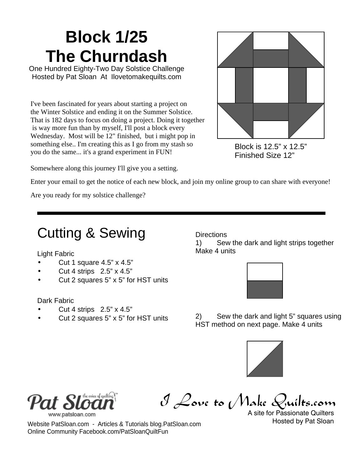## **Block 1/25 The Churndash**

One Hundred Eighty-Two Day Solstice Challenge Hosted by Pat Sloan At Ilovetomakequilts.com

I've been fascinated for years about starting a project on the Winter Solstice and ending it on the Summer Solstice. That is 182 days to focus on doing a project. Doing it together is way more fun than by myself, I'll post a block every Wednesday. Most will be 12" finished, but i might pop in something else.. I'm creating this as I go from my stash so you do the same... it's a grand experiment in FUN!



Block is 12.5" x 12.5" Finished Size 12"

Somewhere along this journey I'll give you a setting.

Enter your email to get the notice of each new block, and join my online group to can share with everyone!

Are you ready for my solstice challenge?

## Cutting & Sewing

Light Fabric

- Cut 1 square 4.5" x 4.5"
- Cut 4 strips 2.5" x 4.5"
- Cut 2 squares 5" x 5" for HST units

#### Dark Fabric

- Cut 4 strips 2.5" x 4.5"
- Cut 2 squares 5" x 5" for HST units

**Directions** 

1) Sew the dark and light strips together Make 4 units



2) Sew the dark and light 5" squares using HST method on next page. Make 4 units





I Love to Make  $Q_0$ 

A site for Passionate Quilters Hosted by Pat Sloan

Website PatSloan.com - Articles & Tutorials blog.PatSloan.com Online Community Facebook.com/PatSloanQuiltFun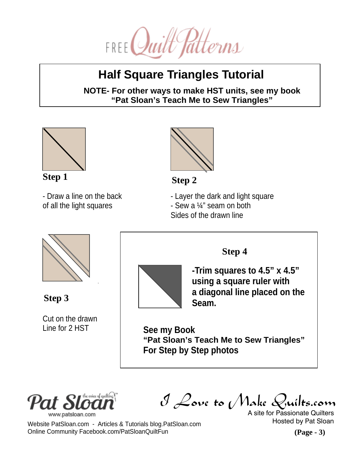

### **Half Square Triangles Tutorial**

**NOTE- For other ways to make HST units, see my book "Pat Sloan's Teach Me to Sew Triangles"**



- Draw a line on the back of all the light squares



**Step 1 Step 2**

- Layer the dark and light square
- Sew a ¼" seam on both
- Sides of the drawn line



**Step 3**

Cut on the drawn Line for 2 HST



**Step 4**

**-Trim squares to 4.5" x 4.5" using a square ruler with a diagonal line placed on the Seam.**

**See my Book "Pat Sloan's Teach Me to Sew Triangles" For Step by Step photos**



I Love to Make Quilts.com

A site for Passionate Quilters Hosted by Pat Sloan

Website PatSloan.com - Articles & Tutorials blog.PatSloan.com Online Community Facebook.com/PatSloanQuiltFun

**(Page - 3)**